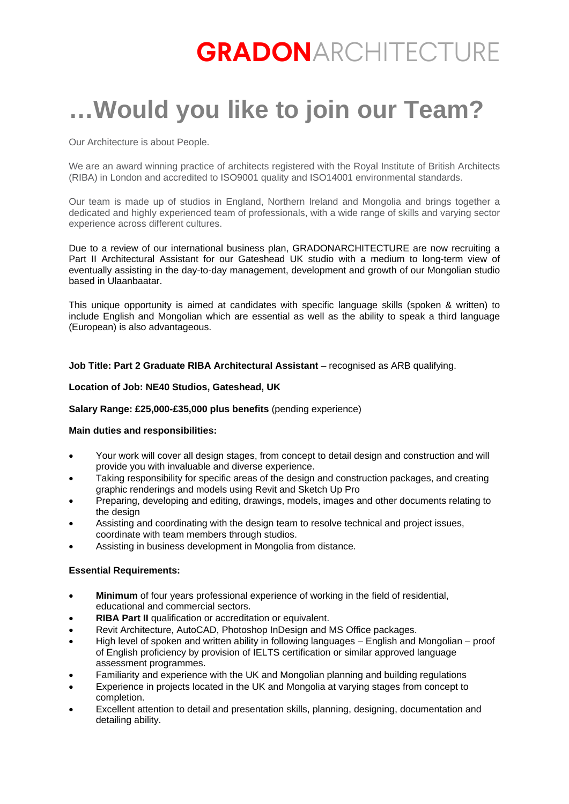# **GRADON**ARCHITECTURE

# **…Would you like to join our Team?**

Our Architecture is about People.

We are an award winning practice of architects registered with the Royal Institute of British Architects (RIBA) in London and accredited to ISO9001 quality and ISO14001 environmental standards.

Our team is made up of studios in England, Northern Ireland and Mongolia and brings together a dedicated and highly experienced team of professionals, with a wide range of skills and varying sector experience across different cultures.

Due to a review of our international business plan, GRADONARCHITECTURE are now recruiting a Part II Architectural Assistant for our Gateshead UK studio with a medium to long-term view of eventually assisting in the day-to-day management, development and growth of our Mongolian studio based in Ulaanbaatar.

This unique opportunity is aimed at candidates with specific language skills (spoken & written) to include English and Mongolian which are essential as well as the ability to speak a third language (European) is also advantageous.

# **Job Title: Part 2 Graduate RIBA Architectural Assistant** – recognised as ARB qualifying.

# **Location of Job: NE40 Studios, Gateshead, UK**

# **Salary Range: £25,000-£35,000 plus benefits** (pending experience)

#### **Main duties and responsibilities:**

- Your work will cover all design stages, from concept to detail design and construction and will provide you with invaluable and diverse experience.
- Taking responsibility for specific areas of the design and construction packages, and creating graphic renderings and models using Revit and Sketch Up Pro
- Preparing, developing and editing, drawings, models, images and other documents relating to the design
- Assisting and coordinating with the design team to resolve technical and project issues, coordinate with team members through studios.
- Assisting in business development in Mongolia from distance.

#### **Essential Requirements:**

- **Minimum** of four years professional experience of working in the field of residential, educational and commercial sectors.
- **RIBA Part II** qualification or accreditation or equivalent.
- Revit Architecture, AutoCAD, Photoshop InDesign and MS Office packages.
- High level of spoken and written ability in following languages English and Mongolian proof of English proficiency by provision of IELTS certification or similar approved language assessment programmes.
- Familiarity and experience with the UK and Mongolian planning and building regulations
- Experience in projects located in the UK and Mongolia at varying stages from concept to completion.
- Excellent attention to detail and presentation skills, planning, designing, documentation and detailing ability.